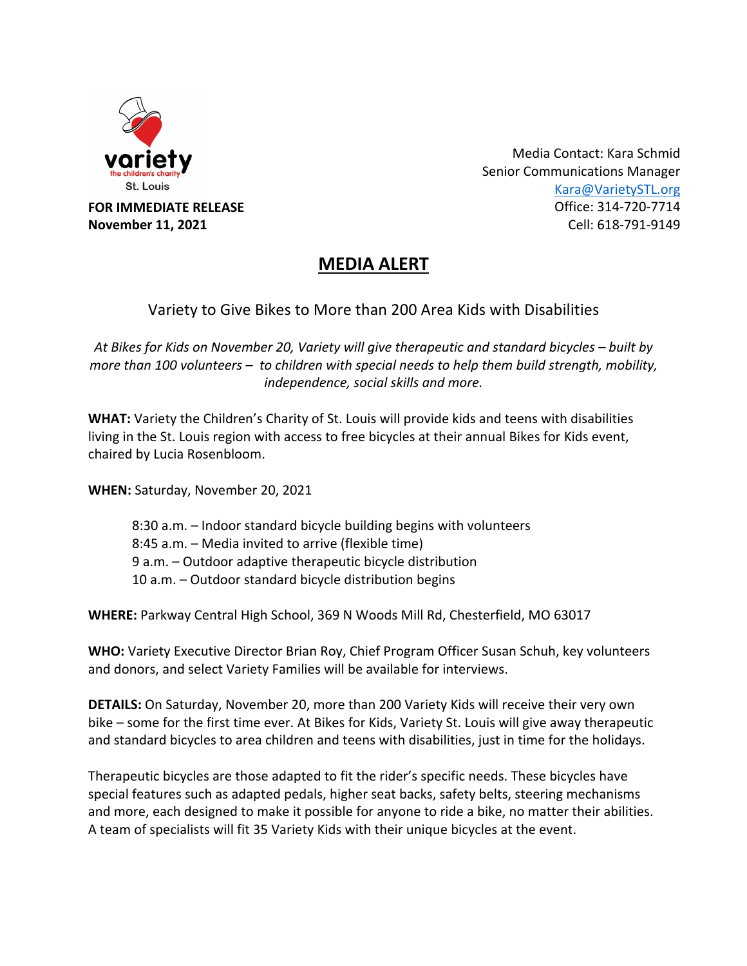

**FOR IMMEDIATE RELEASE November 11, 2021**

Media Contact: Kara Schmid Senior Communications Manager Kara@VarietySTL.org Office: 314-720-7714 Cell: 618-791-9149

## **MEDIA ALERT**

Variety to Give Bikes to More than 200 Area Kids with Disabilities

*At Bikes for Kids on November 20, Variety will give therapeutic and standard bicycles – built by more than 100 volunteers – to children with special needs to help them build strength, mobility, independence, social skills and more.*

**WHAT:** Variety the Children's Charity of St. Louis will provide kids and teens with disabilities living in the St. Louis region with access to free bicycles at their annual Bikes for Kids event, chaired by Lucia Rosenbloom.

**WHEN:** Saturday, November 20, 2021

8:30 a.m. – Indoor standard bicycle building begins with volunteers 8:45 a.m. – Media invited to arrive (flexible time) 9 a.m. – Outdoor adaptive therapeutic bicycle distribution 10 a.m. – Outdoor standard bicycle distribution begins

**WHERE:** Parkway Central High School, 369 N Woods Mill Rd, Chesterfield, MO 63017

**WHO:** Variety Executive Director Brian Roy, Chief Program Officer Susan Schuh, key volunteers and donors, and select Variety Families will be available for interviews.

**DETAILS:** On Saturday, November 20, more than 200 Variety Kids will receive their very own bike – some for the first time ever. At Bikes for Kids, Variety St. Louis will give away therapeutic and standard bicycles to area children and teens with disabilities, just in time for the holidays.

Therapeutic bicycles are those adapted to fit the rider's specific needs. These bicycles have special features such as adapted pedals, higher seat backs, safety belts, steering mechanisms and more, each designed to make it possible for anyone to ride a bike, no matter their abilities. A team of specialists will fit 35 Variety Kids with their unique bicycles at the event.